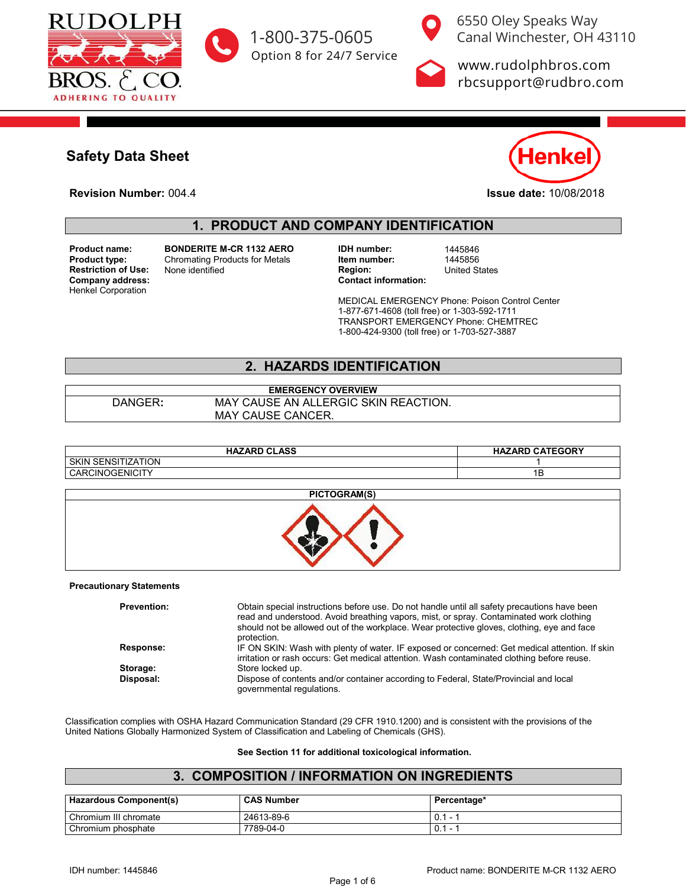



6550 Oley Speaks Way [1-800-375-0605](tel:+118003750605) Canal Winchester, OH 43110

Option 8 for 24/7 Service [www.rudolphbros.com](http://www.RudolphBros.Com) [rbcsupport@rudbro.com](mailto:rbcsupport%40rudbro.com?subject=Bonderite%20MCR%201132%20Aero%201445846%20SDS)

# **Safety Data Sheet**

**Revision Number:** 004.4 **Issue date:** 10/08/2018



**Safety Data Sheet**

### **1. PRODUCT AND COMPANY IDENTIFICATION**

 $Company$  address: Henkel Corporation **Product name:** 

MEDICAL EMERGENCY Phone: Poison Control Center

1-877-671-4608 (toll free) or 1-303-592-1711 TRANSPORT EMERGENCY Phone: CHEMTREC 1-800-424-9300 (toll free) or 1-703-527-3887

**HAZARD CLASS HAZARD CATEGORY**

SKIN SENSITIZATION 1 CARCINOGENICITY 1B

Classification complies with OSHA Hazard Communication Standard (29 CFR 1910.1200) and is consistent with the provisions of the

**Product name: BONDERITE M-CR 1132 AERO BONDERITE M-CR 1132 AERO IDH number:** 1445846<br> **Product type:** Chromating Products for Metals **Item number:** 1445856 **Products for Metals Follow Herm number:** 1445856<br> **Products for Metals Region: Inited States Item number:** 1445856 **Restriction of Use:** None identified **Region:** Region: **Region:** Company address:

MEDICAL EMERGENCY Phone: Poison Control Center 1-877-671-4608 (toll free) or 1-303-592-1711 TRANSPORT EMERGENCY Phone: CHEMTREC 1-800-424-9300 (toll free) or 1-703-527-3887

### **2. HAZARDS IDENTIFICATION**

**EMERGENCY OVERVIEW** DANGER**:** MAY CAUSE AN ALLERGIC SKIN REACTION. MAY CAUSE CANCER.

| <b>HAZARD CLASS</b>                 | <b>HAZARD CATEGORY</b> |
|-------------------------------------|------------------------|
| <b>SENSITIZATION</b><br><b>SKIN</b> |                        |
| CARCINOGENICITY                     | 1В                     |

#### **PICTOGRAM(S)**



#### **Precautionary Statements**

Classification complies with OSHA Hazard Communication Standard (29 CFR 1910.1200) and is consistent with the provisions of the United Nations Globally Harmonized System of Classification and Labeling of Chemicals (GHS).

#### **See Section 11 for additional toxicological information.**

#### **3. COMPOSITION / INFORMATION ON INGREDIENTS**

| <b>Hazardous Component(s)</b> | <b>CAS Number</b> | Percentage*                     |
|-------------------------------|-------------------|---------------------------------|
| Chromium III chromate         | 24613-89-6        | 0.1                             |
| Chromium phosphate            | 7789-04-0         | 0.1<br>$\overline{\phantom{a}}$ |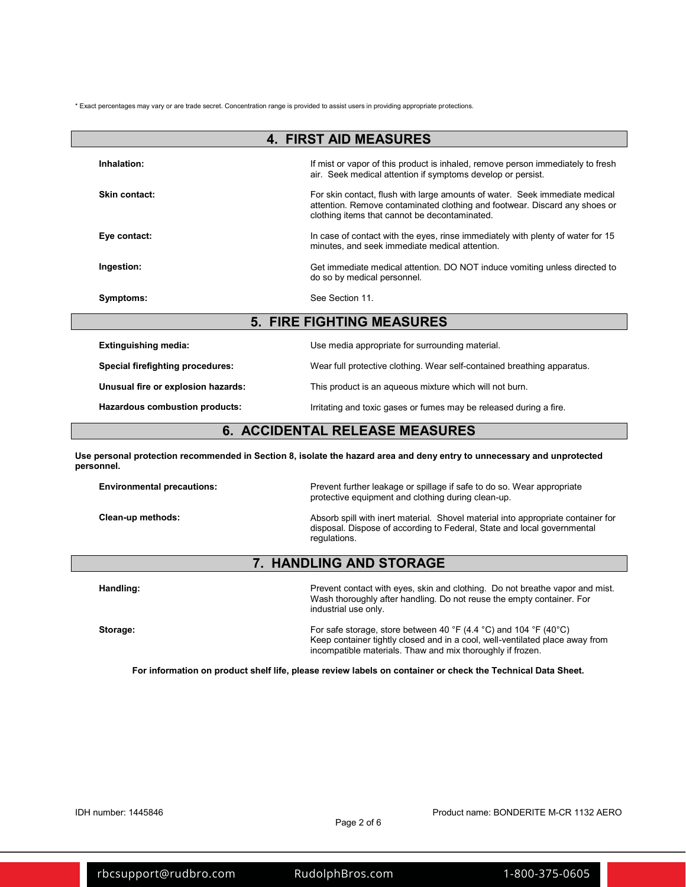\* Exact percentages may vary or are trade secret. Concentration range is provided to assist users in providing appropriate protections.

| <b>4. FIRST AID MEASURES</b>       |                                                                                                                                                                                                            |  |
|------------------------------------|------------------------------------------------------------------------------------------------------------------------------------------------------------------------------------------------------------|--|
| Inhalation:                        | If mist or vapor of this product is inhaled, remove person immediately to fresh<br>air. Seek medical attention if symptoms develop or persist.                                                             |  |
| Skin contact:                      | For skin contact, flush with large amounts of water. Seek immediate medical<br>attention. Remove contaminated clothing and footwear. Discard any shoes or<br>clothing items that cannot be decontaminated. |  |
| Eye contact:                       | In case of contact with the eyes, rinse immediately with plenty of water for 15<br>minutes, and seek immediate medical attention.                                                                          |  |
| Ingestion:                         | Get immediate medical attention. DO NOT induce vomiting unless directed to<br>do so by medical personnel.                                                                                                  |  |
| Symptoms:                          | See Section 11.                                                                                                                                                                                            |  |
| <b>5. FIRE FIGHTING MEASURES</b>   |                                                                                                                                                                                                            |  |
| <b>Extinguishing media:</b>        | Use media appropriate for surrounding material.                                                                                                                                                            |  |
| Special firefighting procedures:   | Wear full protective clothing. Wear self-contained breathing apparatus.                                                                                                                                    |  |
| Unusual fire or explosion hazards: | This product is an aqueous mixture which will not burn.                                                                                                                                                    |  |

Hazardous combustion products: **Interpreteral interpretent in the light of the light of the light of the light of the light of the light of the light of the light of the light of the light of the light of the light of the** 

## **6. ACCIDENTAL RELEASE MEASURES**

**Use personal protection recommended in Section 8, isolate the hazard area and deny entry to unnecessary and unprotected personnel.**

| <b>Environmental precautions:</b> | Prevent further leakage or spillage if safe to do so. Wear appropriate<br>protective equipment and clothing during clean-up.                                                |
|-----------------------------------|-----------------------------------------------------------------------------------------------------------------------------------------------------------------------------|
| Clean-up methods:                 | Absorb spill with inert material. Shovel material into appropriate container for<br>disposal. Dispose of according to Federal, State and local governmental<br>regulations. |

### **7. HANDLING AND STORAGE**

| Handling: | Prevent contact with eyes, skin and clothing. Do not breathe vapor and mist.<br>Wash thoroughly after handling. Do not reuse the empty container. For<br>industrial use only.                                   |
|-----------|-----------------------------------------------------------------------------------------------------------------------------------------------------------------------------------------------------------------|
| Storage:  | For safe storage, store between 40 °F (4.4 °C) and 104 °F (40 °C)<br>Keep container tightly closed and in a cool, well-ventilated place away from<br>incompatible materials. Thaw and mix thoroughly if frozen. |

**For information on product shelf life, please review labels on container or check the Technical Data Sheet.**

IDH number: 1445846 Product name: BONDERITE M-CR 1132 AERO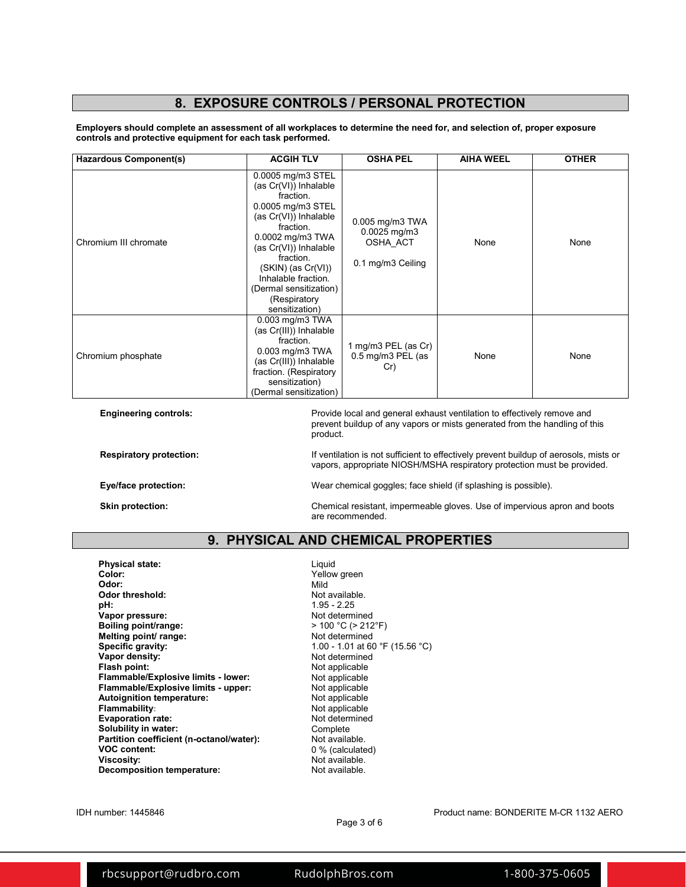### **8. EXPOSURE CONTROLS / PERSONAL PROTECTION**

**Employers should complete an assessment of all workplaces to determine the need for, and selection of, proper exposure controls and protective equipment for each task performed.**

| <b>Hazardous Component(s)</b> | <b>ACGIH TLV</b>                                                                                                                                                                                                                                                                           | <b>OSHA PEL</b>                                                         | <b>AIHA WEEL</b> | <b>OTHER</b> |
|-------------------------------|--------------------------------------------------------------------------------------------------------------------------------------------------------------------------------------------------------------------------------------------------------------------------------------------|-------------------------------------------------------------------------|------------------|--------------|
| Chromium III chromate         | 0.0005 mg/m3 STEL<br>(as Cr(VI)) Inhalable<br>fraction.<br>0.0005 mg/m3 STEL<br>(as Cr(VI)) Inhalable<br>fraction.<br>0.0002 mg/m3 TWA<br>(as Cr(VI)) Inhalable<br>fraction.<br>$(SKIN)$ (as $Cr(VI)$ )<br>Inhalable fraction.<br>(Dermal sensitization)<br>(Respiratory<br>sensitization) | 0.005 mg/m3 TWA<br>$0.0025$ mg/m3<br>OSHA ACT<br>0.1 mg/m3 Ceiling      | None             | None         |
| Chromium phosphate            | 0.003 mg/m3 TWA<br>(as Cr(III)) Inhalable<br>fraction.<br>0.003 mg/m3 TWA<br>(as Cr(III)) Inhalable<br>fraction. (Respiratory<br>sensitization)<br>(Dermal sensitization)                                                                                                                  | 1 mg/m3 PEL (as Cr)<br>0.5 mg/m3 PEL (as<br>Cr)                         | None             | None         |
| <b>Engineering controls:</b>  |                                                                                                                                                                                                                                                                                            | Provide local and general exhaust ventilation to effectively remove and |                  |              |

prevent buildup of any vapors or mists generated from the handling of this product.

**Respiratory protection:** If ventilation is not sufficient to effectively prevent buildup of aerosols, mists or vapors, appropriate NIOSH/MSHA respiratory protection must be provided.

**Eye/face protection:** Wear chemical goggles; face shield (if splashing is possible).

**Skin protection:** Chemical resistant, impermeable gloves. Use of impervious apron and boots are recommended.

#### **9. PHYSICAL AND CHEMICAL PROPERTIES**

**Physical state:** Liquid<br> **Color:** Color: Color: Color: Color: Color: Color: Color: Color: Color: Color: Color: Color: Color: Color: Colo **Color:** Yellow green<br> **Odor:** Mild **Odor:** Mild **Odor threshold:** Not available. **pH:** 1.95 - 2.25 **Vapor pressure:**<br> **Boiling point/range:** Not determined<br>  $> 100 °C (> 212 °F)$ **Boiling point/range:**  $\longrightarrow$  100 °C (> 212<br> **Melting point/ range:** Not determined **Melting point/ range:**<br>Specific gravity: **Vapor density:**<br>Flash point: **Flammable/Explosive limits - lower:** Not applicable<br> **Flammable/Explosive limits - upper:** Not applicable **Flammable/Explosive limits - upper:** Not applicable<br> **Autoignition temperature:** Not applicable **Autoignition temperature:**<br>Flammability: **Evaporation rate:** Not determined the Solubility in water: Not determined the Solubility in water: **Solubility in water:** Complete Complete<br> **Partition coefficient (n-octanol/water):** Not available. Partition coefficient (n-octanol/water):<br>VOC content: **VOC content:**  $\begin{array}{ccc} 0 & 0 & 0 \\ \hline \end{array}$  (calculated) **Viscosity: Decomposition temperature:** 

1.00 - 1.01 at 60 °F (15.56 °C)<br>Not determined **Not applicable**<br>Not applicable **Not applicable**<br>Not determined Not available.<br>Not available.

Page 3 of 6

IDH number: 1445846 Product name: BONDERITE M-CR 1132 AERO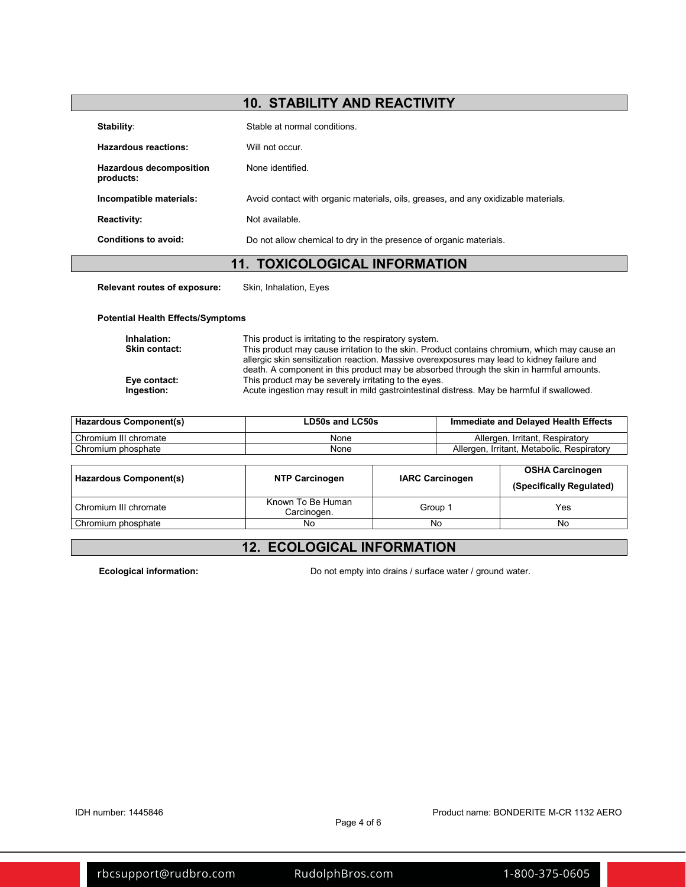| <b>10. STABILITY AND REACTIVITY</b>         |                                                                                    |
|---------------------------------------------|------------------------------------------------------------------------------------|
| Stability:                                  | Stable at normal conditions.                                                       |
| <b>Hazardous reactions:</b>                 | Will not occur.                                                                    |
| <b>Hazardous decomposition</b><br>products: | None identified.                                                                   |
| Incompatible materials:                     | Avoid contact with organic materials, oils, greases, and any oxidizable materials. |
| <b>Reactivity:</b>                          | Not available.                                                                     |
| Conditions to avoid:                        | Do not allow chemical to dry in the presence of organic materials.                 |
| <b>11. TOXICOLOGICAL INFORMATION</b>        |                                                                                    |
| <b>Relevant routes of exposure:</b>         | Skin, Inhalation, Eyes                                                             |
| <b>Potential Health Effects/Symptoms</b>    |                                                                                    |
|                                             |                                                                                    |

| Inhalation:          | This product is irritating to the respiratory system.                                        |
|----------------------|----------------------------------------------------------------------------------------------|
| <b>Skin contact:</b> | This product may cause irritation to the skin. Product contains chromium, which may cause an |
|                      | allergic skin sensitization reaction. Massive overexposures may lead to kidney failure and   |
|                      | death. A component in this product may be absorbed through the skin in harmful amounts.      |
| Eye contact:         | This product may be severely irritating to the eyes.                                         |
| Ingestion:           | Acute ingestion may result in mild gastrointestinal distress. May be harmful if swallowed.   |

| Hazardous Component(s) | LD50s and LC50s | Immediate and Delayed Health Effects       |
|------------------------|-----------------|--------------------------------------------|
| Chromium III chromate  | None            | Allergen, Irritant, Respiratory            |
| Chromium phosphate     | None            | Allergen, Irritant, Metabolic, Respiratory |
|                        |                 |                                            |
|                        |                 | <b>OSHA Carcinogen</b>                     |

| Hazardous Component(s) | <b>NTP Carcinogen</b>            | <b>IARC Carcinogen</b> | <b>OSHA Carcinogen</b><br>(Specifically Regulated) |
|------------------------|----------------------------------|------------------------|----------------------------------------------------|
| Chromium III chromate  | Known To Be Human<br>Carcinogen. | Group 1                | Yes                                                |
| Chromium phosphate     | No                               | No                     | No                                                 |

# **12. ECOLOGICAL INFORMATION**

**Ecological information:** Do not empty into drains / surface water / ground water.

IDH number: 1445846 Product name: BONDERITE M-CR 1132 AERO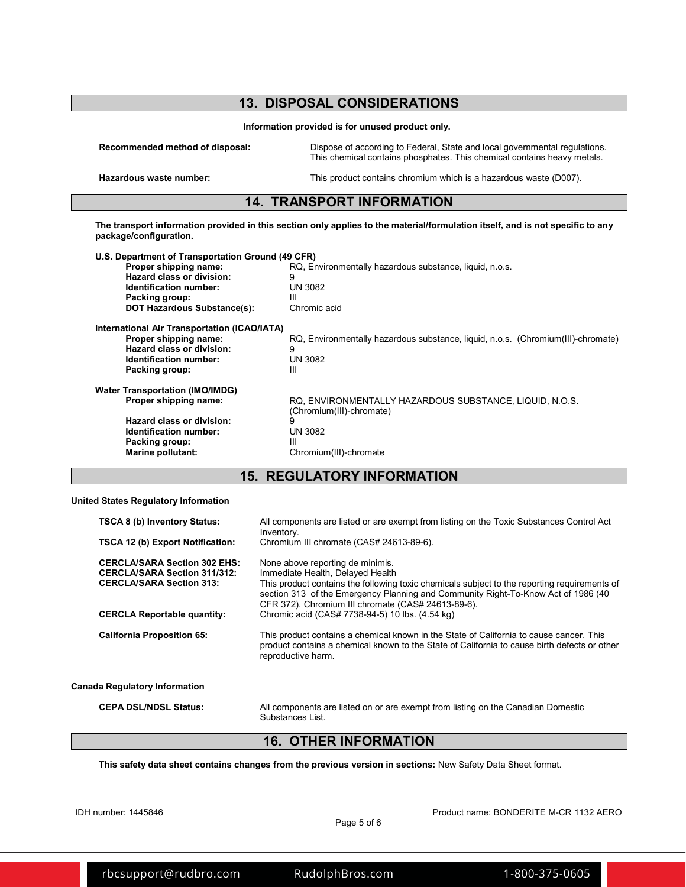|                                                                                                                                                                                                                                                                                                  | <b>13. DISPOSAL CONSIDERATIONS</b>                                                                                                                    |  |  |
|--------------------------------------------------------------------------------------------------------------------------------------------------------------------------------------------------------------------------------------------------------------------------------------------------|-------------------------------------------------------------------------------------------------------------------------------------------------------|--|--|
|                                                                                                                                                                                                                                                                                                  | Information provided is for unused product only.                                                                                                      |  |  |
| Recommended method of disposal:                                                                                                                                                                                                                                                                  | Dispose of according to Federal, State and local governmental regulations.<br>This chemical contains phosphates. This chemical contains heavy metals. |  |  |
| Hazardous waste number:                                                                                                                                                                                                                                                                          | This product contains chromium which is a hazardous waste (D007).                                                                                     |  |  |
|                                                                                                                                                                                                                                                                                                  | <b>14. TRANSPORT INFORMATION</b>                                                                                                                      |  |  |
| package/configuration.                                                                                                                                                                                                                                                                           | The transport information provided in this section only applies to the material/formulation itself, and is not specific to any                        |  |  |
| U.S. Department of Transportation Ground (49 CFR)<br>Proper shipping name:<br>RQ, Environmentally hazardous substance, liquid, n.o.s.<br>Hazard class or division:<br>9<br><b>UN 3082</b><br>Identification number:<br>ш<br>Packing group:<br><b>DOT Hazardous Substance(s):</b><br>Chromic acid |                                                                                                                                                       |  |  |
| International Air Transportation (ICAO/IATA)<br>Proper shipping name:<br>Hazard class or division:<br>Identification number:<br>Packing group:                                                                                                                                                   | RQ, Environmentally hazardous substance, liquid, n.o.s. (Chromium(III)-chromate)<br>9<br><b>UN 3082</b><br>Ш                                          |  |  |
| <b>Water Transportation (IMO/IMDG)</b><br>Proper shipping name:<br>Hazard class or division:<br>Identification number:<br>Packing group:<br><b>Marine pollutant:</b>                                                                                                                             | RQ, ENVIRONMENTALLY HAZARDOUS SUBSTANCE, LIQUID, N.O.S.<br>(Chromium(III)-chromate)<br>9<br><b>UN 3082</b><br>Ш<br>Chromium(III)-chromate             |  |  |

### **15. REGULATORY INFORMATION**

#### **United States Regulatory Information**

| TSCA 8 (b) Inventory Status:                                                                                  | All components are listed or are exempt from listing on the Toxic Substances Control Act<br>Inventory.                                                                                                                                                                                                          |
|---------------------------------------------------------------------------------------------------------------|-----------------------------------------------------------------------------------------------------------------------------------------------------------------------------------------------------------------------------------------------------------------------------------------------------------------|
| <b>TSCA 12 (b) Export Notification:</b>                                                                       | Chromium III chromate (CAS# 24613-89-6).                                                                                                                                                                                                                                                                        |
| <b>CERCLA/SARA Section 302 EHS:</b><br><b>CERCLA/SARA Section 311/312:</b><br><b>CERCLA/SARA Section 313:</b> | None above reporting de minimis.<br>Immediate Health, Delayed Health<br>This product contains the following toxic chemicals subject to the reporting requirements of<br>section 313 of the Emergency Planning and Community Right-To-Know Act of 1986 (40<br>CFR 372). Chromium III chromate (CAS# 24613-89-6). |
| <b>CERCLA Reportable quantity:</b>                                                                            | Chromic acid (CAS# 7738-94-5) 10 lbs. (4.54 kg)                                                                                                                                                                                                                                                                 |
| <b>California Proposition 65:</b>                                                                             | This product contains a chemical known in the State of California to cause cancer. This<br>product contains a chemical known to the State of California to cause birth defects or other<br>reproductive harm.                                                                                                   |
| Canada Regulatory Information                                                                                 |                                                                                                                                                                                                                                                                                                                 |
| <b>CEPA DSL/NDSL Status:</b>                                                                                  | All components are listed on or are exempt from listing on the Canadian Domestic<br>Substances List.                                                                                                                                                                                                            |

# **16. OTHER INFORMATION**

**This safety data sheet contains changes from the previous version in sections:** New Safety Data Sheet format.

IDH number: 1445846 Product name: BONDERITE M-CR 1132 AERO

[rbcsupport@rudbro.com](mailto:rbcsupport%40rudbro.com?subject=Bonderite%20MCR%201132%20Aero%201445846%20SDS) [RudolphBros.com](http://www.RudolphBros.Com) [1-800-375-0605](tel:+118003750605)